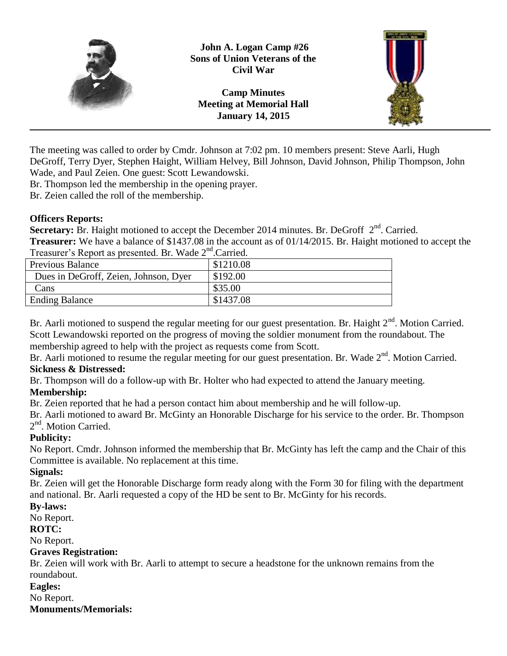

**John A. Logan Camp #26 Sons of Union Veterans of the Civil War**

**Camp Minutes Meeting at Memorial Hall January 14, 2015**



The meeting was called to order by Cmdr. Johnson at 7:02 pm. 10 members present: Steve Aarli, Hugh DeGroff, Terry Dyer, Stephen Haight, William Helvey, Bill Johnson, David Johnson, Philip Thompson, John Wade, and Paul Zeien. One guest: Scott Lewandowski.

Br. Thompson led the membership in the opening prayer.

Br. Zeien called the roll of the membership.

## **Officers Reports:**

Secretary: Br. Haight motioned to accept the December 2014 minutes. Br. DeGroff 2<sup>nd</sup>. Carried. **Treasurer:** We have a balance of \$1437.08 in the account as of 01/14/2015. Br. Haight motioned to accept the Treasurer's Report as presented. Br. Wade 2<sup>nd</sup>.Carried.

| $110000101$ $0100001000$ $0100011000$ , $111000$ $0$ |           |
|------------------------------------------------------|-----------|
| <b>Previous Balance</b>                              | \$1210.08 |
| Dues in DeGroff, Zeien, Johnson, Dyer                | \$192.00  |
| Cans                                                 | \$35.00   |
| <b>Ending Balance</b>                                | \$1437.08 |
|                                                      |           |

Br. Aarli motioned to suspend the regular meeting for our guest presentation. Br. Haight  $2<sup>nd</sup>$ . Motion Carried. Scott Lewandowski reported on the progress of moving the soldier monument from the roundabout. The membership agreed to help with the project as requests come from Scott.

Br. Aarli motioned to resume the regular meeting for our guest presentation. Br. Wade 2<sup>nd</sup>. Motion Carried. **Sickness & Distressed:**

Br. Thompson will do a follow-up with Br. Holter who had expected to attend the January meeting. **Membership:**

Br. Zeien reported that he had a person contact him about membership and he will follow-up.

Br. Aarli motioned to award Br. McGinty an Honorable Discharge for his service to the order. Br. Thompson 2<sup>nd</sup>. Motion Carried.

# **Publicity:**

No Report. Cmdr. Johnson informed the membership that Br. McGinty has left the camp and the Chair of this Committee is available. No replacement at this time.

# **Signals:**

Br. Zeien will get the Honorable Discharge form ready along with the Form 30 for filing with the department and national. Br. Aarli requested a copy of the HD be sent to Br. McGinty for his records.

# **By-laws:**

No Report.

# **ROTC:**

No Report.

# **Graves Registration:**

Br. Zeien will work with Br. Aarli to attempt to secure a headstone for the unknown remains from the roundabout.

## **Eagles:**

No Report.

## **Monuments/Memorials:**